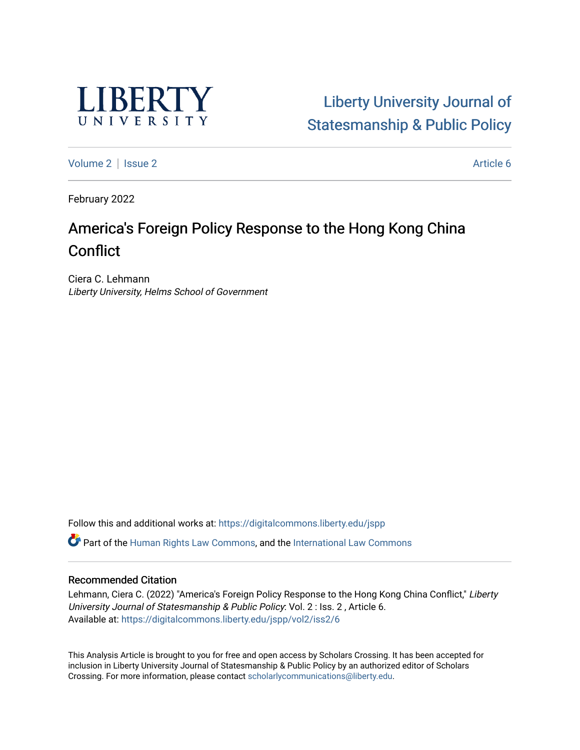

[Liberty University Journal of](https://digitalcommons.liberty.edu/jspp)  [Statesmanship & Public Policy](https://digitalcommons.liberty.edu/jspp) 

[Volume 2](https://digitalcommons.liberty.edu/jspp/vol2) | [Issue 2](https://digitalcommons.liberty.edu/jspp/vol2/iss2) Article 6

February 2022

# America's Foreign Policy Response to the Hong Kong China **Conflict**

Ciera C. Lehmann Liberty University, Helms School of Government

Follow this and additional works at: [https://digitalcommons.liberty.edu/jspp](https://digitalcommons.liberty.edu/jspp?utm_source=digitalcommons.liberty.edu%2Fjspp%2Fvol2%2Fiss2%2F6&utm_medium=PDF&utm_campaign=PDFCoverPages) 

Part of the [Human Rights Law Commons,](http://network.bepress.com/hgg/discipline/847?utm_source=digitalcommons.liberty.edu%2Fjspp%2Fvol2%2Fiss2%2F6&utm_medium=PDF&utm_campaign=PDFCoverPages) and the [International Law Commons](http://network.bepress.com/hgg/discipline/609?utm_source=digitalcommons.liberty.edu%2Fjspp%2Fvol2%2Fiss2%2F6&utm_medium=PDF&utm_campaign=PDFCoverPages) 

### Recommended Citation

Lehmann, Ciera C. (2022) "America's Foreign Policy Response to the Hong Kong China Conflict," Liberty University Journal of Statesmanship & Public Policy: Vol. 2 : Iss. 2 , Article 6. Available at: [https://digitalcommons.liberty.edu/jspp/vol2/iss2/6](https://digitalcommons.liberty.edu/jspp/vol2/iss2/6?utm_source=digitalcommons.liberty.edu%2Fjspp%2Fvol2%2Fiss2%2F6&utm_medium=PDF&utm_campaign=PDFCoverPages) 

This Analysis Article is brought to you for free and open access by Scholars Crossing. It has been accepted for inclusion in Liberty University Journal of Statesmanship & Public Policy by an authorized editor of Scholars Crossing. For more information, please contact [scholarlycommunications@liberty.edu](mailto:scholarlycommunications@liberty.edu).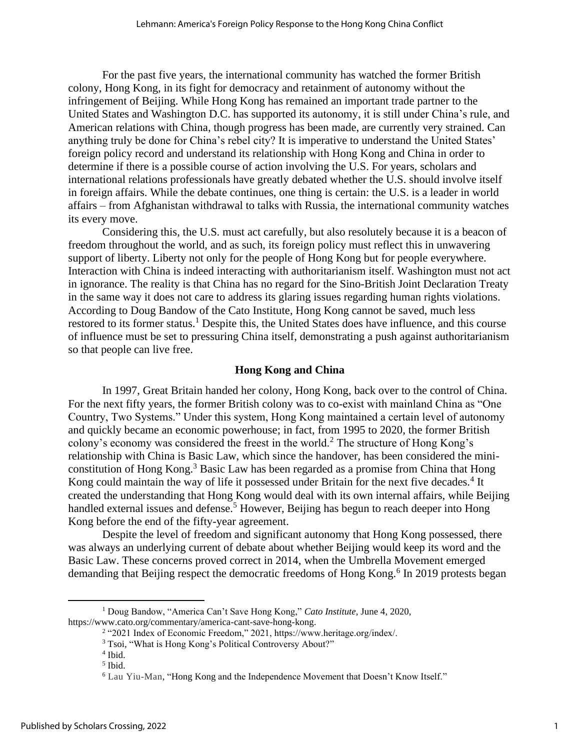For the past five years, the international community has watched the former British colony, Hong Kong, in its fight for democracy and retainment of autonomy without the infringement of Beijing. While Hong Kong has remained an important trade partner to the United States and Washington D.C. has supported its autonomy, it is still under China's rule, and American relations with China, though progress has been made, are currently very strained. Can anything truly be done for China's rebel city? It is imperative to understand the United States' foreign policy record and understand its relationship with Hong Kong and China in order to determine if there is a possible course of action involving the U.S. For years, scholars and international relations professionals have greatly debated whether the U.S. should involve itself in foreign affairs. While the debate continues, one thing is certain: the U.S. is a leader in world affairs – from Afghanistan withdrawal to talks with Russia, the international community watches its every move.

Considering this, the U.S. must act carefully, but also resolutely because it is a beacon of freedom throughout the world, and as such, its foreign policy must reflect this in unwavering support of liberty. Liberty not only for the people of Hong Kong but for people everywhere. Interaction with China is indeed interacting with authoritarianism itself. Washington must not act in ignorance. The reality is that China has no regard for the Sino-British Joint Declaration Treaty in the same way it does not care to address its glaring issues regarding human rights violations. According to Doug Bandow of the Cato Institute, Hong Kong cannot be saved, much less restored to its former status.<sup>1</sup> Despite this, the United States does have influence, and this course of influence must be set to pressuring China itself, demonstrating a push against authoritarianism so that people can live free.

### **Hong Kong and China**

In 1997, Great Britain handed her colony, Hong Kong, back over to the control of China. For the next fifty years, the former British colony was to co-exist with mainland China as "One Country, Two Systems." Under this system, Hong Kong maintained a certain level of autonomy and quickly became an economic powerhouse; in fact, from 1995 to 2020, the former British colony's economy was considered the freest in the world.<sup>2</sup> The structure of Hong Kong's relationship with China is Basic Law, which since the handover, has been considered the miniconstitution of Hong Kong.<sup>3</sup> Basic Law has been regarded as a promise from China that Hong Kong could maintain the way of life it possessed under Britain for the next five decades.<sup>4</sup> It created the understanding that Hong Kong would deal with its own internal affairs, while Beijing handled external issues and defense.<sup>5</sup> However, Beijing has begun to reach deeper into Hong Kong before the end of the fifty-year agreement.

Despite the level of freedom and significant autonomy that Hong Kong possessed, there was always an underlying current of debate about whether Beijing would keep its word and the Basic Law. These concerns proved correct in 2014, when the Umbrella Movement emerged demanding that Beijing respect the democratic freedoms of Hong Kong.<sup>6</sup> In 2019 protests began

<sup>1</sup> Doug Bandow, "America Can't Save Hong Kong," *Cato Institute,* June 4, 2020, https://www.cato.org/commentary/america-cant-save-hong-kong.

<sup>&</sup>lt;sup>2</sup> "2021 Index of Economic Freedom," 2021, https://www.heritage.org/index/.

<sup>&</sup>lt;sup>3</sup> Tsoi, "What is Hong Kong's Political Controversy About?"

<sup>4</sup> Ibid.

<sup>5</sup> Ibid.

<sup>6</sup> Lau Yiu-Man, "Hong Kong and the Independence Movement that Doesn't Know Itself."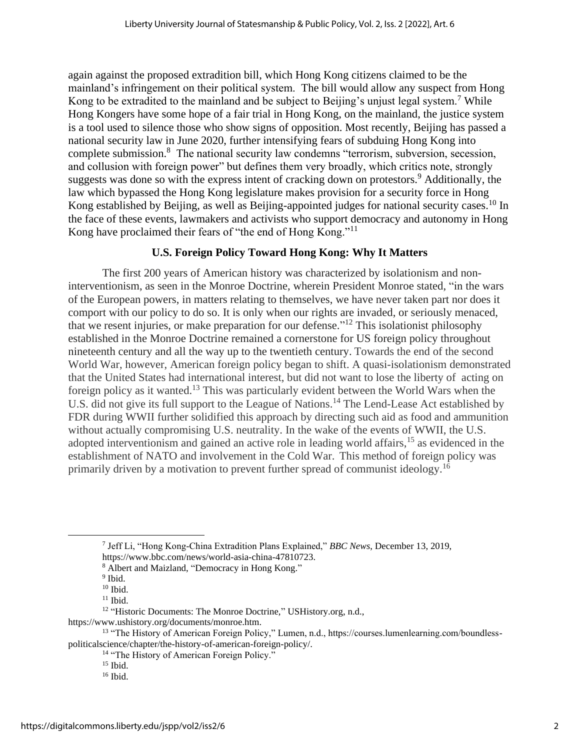again against the proposed extradition bill, which Hong Kong citizens claimed to be the mainland's infringement on their political system. The bill would allow any suspect from Hong Kong to be extradited to the mainland and be subject to Beijing's unjust legal system.<sup>7</sup> While Hong Kongers have some hope of a fair trial in Hong Kong, on the mainland, the justice system is a tool used to silence those who show signs of opposition. Most recently, Beijing has passed a national security law in June 2020, further intensifying fears of subduing Hong Kong into complete submission.<sup>8</sup> The national security law condemns "terrorism, subversion, secession, and collusion with foreign power" but defines them very broadly, which critics note, strongly suggests was done so with the express intent of cracking down on protestors.<sup>9</sup> Additionally, the law which bypassed the Hong Kong legislature makes provision for a security force in Hong Kong established by Beijing, as well as Beijing-appointed judges for national security cases.<sup>10</sup> In the face of these events, lawmakers and activists who support democracy and autonomy in Hong Kong have proclaimed their fears of "the end of Hong Kong."<sup>11</sup>

# **U.S. Foreign Policy Toward Hong Kong: Why It Matters**

The first 200 years of American history was characterized by isolationism and noninterventionism, as seen in the Monroe Doctrine, wherein President Monroe stated, "in the wars of the European powers, in matters relating to themselves, we have never taken part nor does it comport with our policy to do so. It is only when our rights are invaded, or seriously menaced, that we resent injuries, or make preparation for our defense."<sup>12</sup> This isolationist philosophy established in the Monroe Doctrine remained a cornerstone for US foreign policy throughout nineteenth century and all the way up to the twentieth century. Towards the end of the second World War, however, American foreign policy began to shift. A quasi-isolationism demonstrated that the United States had international interest, but did not want to lose the liberty of acting on foreign policy as it wanted.<sup>13</sup> This was particularly evident between the World Wars when the U.S. did not give its full support to the League of Nations.<sup>14</sup> The Lend-Lease Act established by FDR during WWII further solidified this approach by directing such aid as food and ammunition without actually compromising U.S. neutrality. In the wake of the events of WWII, the U.S. adopted interventionism and gained an active role in leading world affairs,<sup>15</sup> as evidenced in the establishment of NATO and involvement in the Cold War. This method of foreign policy was primarily driven by a motivation to prevent further spread of communist ideology.<sup>16</sup>

<sup>7</sup> Jeff Li, "Hong Kong-China Extradition Plans Explained," *BBC News*, December 13, 2019, https://www.bbc.com/news/world-asia-china-47810723.

<sup>8</sup> Albert and Maizland, "Democracy in Hong Kong."

<sup>&</sup>lt;sup>9</sup> Ibid.

<sup>10</sup> Ibid.

 $11$  Ibid.

<sup>&</sup>lt;sup>12</sup> "Historic Documents: The Monroe Doctrine," USHistory.org, n.d.,

https://www.ushistory.org/documents/monroe.htm.

<sup>13</sup> "The History of American Foreign Policy," Lumen, n.d., https://courses.lumenlearning.com/boundlesspoliticalscience/chapter/the-history-of-american-foreign-policy/.

<sup>&</sup>lt;sup>14</sup> "The History of American Foreign Policy."

 $15$  Ibid.

<sup>16</sup> Ibid.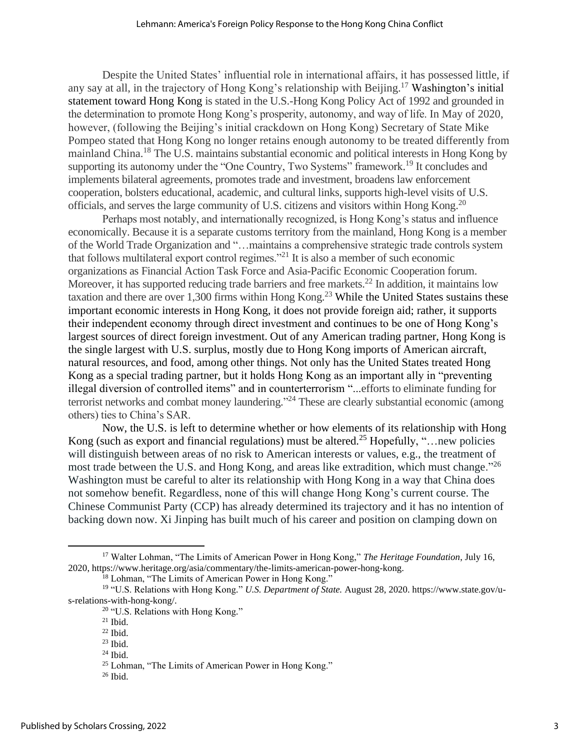Despite the United States' influential role in international affairs, it has possessed little, if any say at all, in the trajectory of Hong Kong's relationship with Beijing.<sup>17</sup> Washington's initial statement toward Hong Kong is stated in the U.S.-Hong Kong Policy Act of 1992 and grounded in the determination to promote Hong Kong's prosperity, autonomy, and way of life. In May of 2020, however, (following the Beijing's initial crackdown on Hong Kong) Secretary of State Mike Pompeo stated that Hong Kong no longer retains enough autonomy to be treated differently from mainland China.<sup>18</sup> The U.S. maintains substantial economic and political interests in Hong Kong by supporting its autonomy under the "One Country, Two Systems" framework.<sup>19</sup> It concludes and implements bilateral agreements, promotes trade and investment, broadens law enforcement cooperation, bolsters educational, academic, and cultural links, supports high-level visits of U.S. officials, and serves the large community of U.S. citizens and visitors within Hong Kong.<sup>20</sup>

Perhaps most notably, and internationally recognized, is Hong Kong's status and influence economically. Because it is a separate customs territory from the mainland, Hong Kong is a member of the World Trade Organization and "…maintains a comprehensive strategic trade controls system that follows multilateral export control regimes."<sup>21</sup> It is also a member of such economic organizations as Financial Action Task Force and Asia-Pacific Economic Cooperation forum. Moreover, it has supported reducing trade barriers and free markets.<sup>22</sup> In addition, it maintains low taxation and there are over 1,300 firms within Hong Kong.<sup>23</sup> While the United States sustains these important economic interests in Hong Kong, it does not provide foreign aid; rather, it supports their independent economy through direct investment and continues to be one of Hong Kong's largest sources of direct foreign investment. Out of any American trading partner, Hong Kong is the single largest with U.S. surplus, mostly due to Hong Kong imports of American aircraft, natural resources, and food, among other things. Not only has the United States treated Hong Kong as a special trading partner, but it holds Hong Kong as an important ally in "preventing illegal diversion of controlled items" and in counterterrorism "...efforts to eliminate funding for terrorist networks and combat money laundering."<sup>24</sup> These are clearly substantial economic (among others) ties to China's SAR.

Now, the U.S. is left to determine whether or how elements of its relationship with Hong Kong (such as export and financial regulations) must be altered.<sup>25</sup> Hopefully, "... new policies will distinguish between areas of no risk to American interests or values, e.g., the treatment of most trade between the U.S. and Hong Kong, and areas like extradition, which must change.<sup>"26</sup> Washington must be careful to alter its relationship with Hong Kong in a way that China does not somehow benefit. Regardless, none of this will change Hong Kong's current course. The Chinese Communist Party (CCP) has already determined its trajectory and it has no intention of backing down now. Xi Jinping has built much of his career and position on clamping down on

<sup>17</sup> Walter Lohman, "The Limits of American Power in Hong Kong," *The Heritage Foundation*, July 16, 2020, https://www.heritage.org/asia/commentary/the-limits-american-power-hong-kong.

<sup>&</sup>lt;sup>18</sup> Lohman, "The Limits of American Power in Hong Kong."

<sup>19</sup> "U.S. Relations with Hong Kong*.*" *U.S. Department of State.* August 28, 2020. https://www.state.gov/us-relations-with-hong-kong/.

<sup>20</sup> "U.S. Relations with Hong Kong*.*"

 $21$  Ibid.

 $22$  Ibid.

<sup>23</sup> Ibid.

 $24$  Ibid.

<sup>&</sup>lt;sup>25</sup> Lohman, "The Limits of American Power in Hong Kong."

<sup>26</sup> Ibid.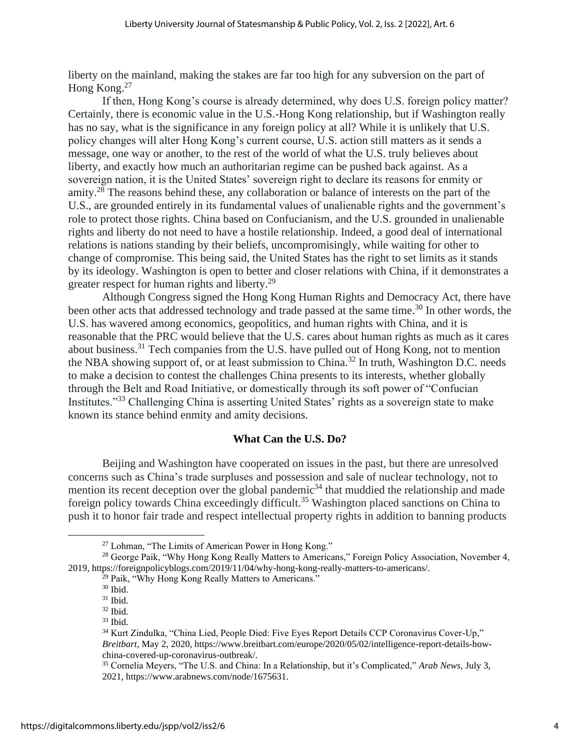liberty on the mainland, making the stakes are far too high for any subversion on the part of Hong Kong.<sup>27</sup>

If then, Hong Kong's course is already determined, why does U.S. foreign policy matter? Certainly, there is economic value in the U.S.-Hong Kong relationship, but if Washington really has no say, what is the significance in any foreign policy at all? While it is unlikely that U.S. policy changes will alter Hong Kong's current course, U.S. action still matters as it sends a message, one way or another, to the rest of the world of what the U.S. truly believes about liberty, and exactly how much an authoritarian regime can be pushed back against. As a sovereign nation, it is the United States' sovereign right to declare its reasons for enmity or amity.<sup>28</sup> The reasons behind these, any collaboration or balance of interests on the part of the U.S., are grounded entirely in its fundamental values of unalienable rights and the government's role to protect those rights. China based on Confucianism, and the U.S. grounded in unalienable rights and liberty do not need to have a hostile relationship. Indeed, a good deal of international relations is nations standing by their beliefs, uncompromisingly, while waiting for other to change of compromise. This being said, the United States has the right to set limits as it stands by its ideology. Washington is open to better and closer relations with China, if it demonstrates a greater respect for human rights and liberty.<sup>29</sup>

Although Congress signed the Hong Kong Human Rights and Democracy Act, there have been other acts that addressed technology and trade passed at the same time.<sup>30</sup> In other words, the U.S. has wavered among economics, geopolitics, and human rights with China, and it is reasonable that the PRC would believe that the U.S. cares about human rights as much as it cares about business.<sup>31</sup> Tech companies from the U.S. have pulled out of Hong Kong, not to mention the NBA showing support of, or at least submission to China.<sup>32</sup> In truth, Washington D.C. needs to make a decision to contest the challenges China presents to its interests, whether globally through the Belt and Road Initiative, or domestically through its soft power of "Confucian Institutes."<sup>33</sup> Challenging China is asserting United States' rights as a sovereign state to make known its stance behind enmity and amity decisions.

## **What Can the U.S. Do?**

Beijing and Washington have cooperated on issues in the past, but there are unresolved concerns such as China's trade surpluses and possession and sale of nuclear technology, not to mention its recent deception over the global pandemic<sup>34</sup> that muddied the relationship and made foreign policy towards China exceedingly difficult.<sup>35</sup> Washington placed sanctions on China to push it to honor fair trade and respect intellectual property rights in addition to banning products

<sup>27</sup> Lohman, "The Limits of American Power in Hong Kong."

<sup>&</sup>lt;sup>28</sup> George Paik, "Why Hong Kong Really Matters to Americans," Foreign Policy Association, November 4, 2019, https://foreignpolicyblogs.com/2019/11/04/why-hong-kong-really-matters-to-americans/.

<sup>&</sup>lt;sup>29</sup> Paik, "Why Hong Kong Really Matters to Americans."

<sup>30</sup> Ibid.

 $31$  Ibid.

 $32$  Ibid.

<sup>33</sup> Ibid.

<sup>34</sup> Kurt Zindulka, "China Lied, People Died: Five Eyes Report Details CCP Coronavirus Cover-Up," *Breitbart,* May 2, 2020, https://www.breitbart.com/europe/2020/05/02/intelligence-report-details-howchina-covered-up-coronavirus-outbreak/.

<sup>35</sup> Cornelia Meyers, "The U.S. and China: In a Relationship, but it's Complicated," *Arab News,* July 3, 2021, https://www.arabnews.com/node/1675631.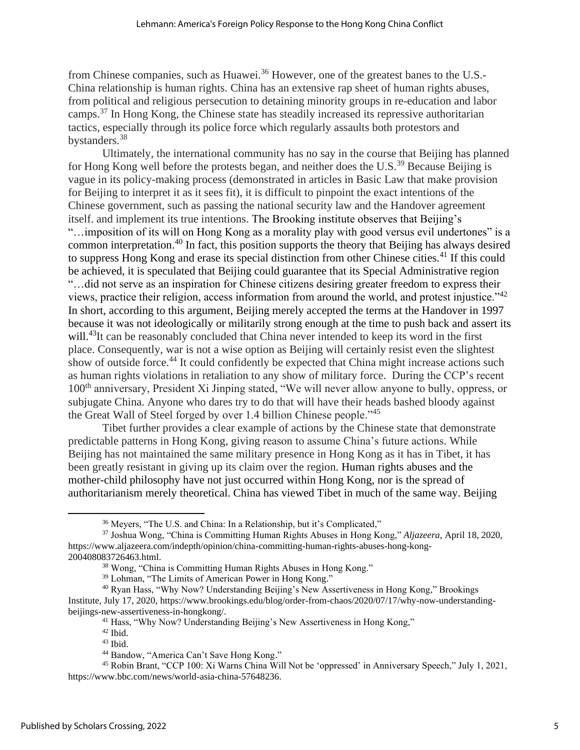from Chinese companies, such as Huawei.<sup>36</sup> However, one of the greatest banes to the U.S.-China relationship is human rights. China has an extensive rap sheet of human rights abuses, from political and religious persecution to detaining minority groups in re-education and labor camps.<sup>37</sup> In Hong Kong, the Chinese state has steadily increased its repressive authoritarian tactics, especially through its police force which regularly assaults both protestors and bystanders.<sup>38</sup>

Ultimately, the international community has no say in the course that Beijing has planned for Hong Kong well before the protests began, and neither does the U.S.<sup>39</sup> Because Beijing is vague in its policy-making process (demonstrated in articles in Basic Law that make provision for Beijing to interpret it as it sees fit), it is difficult to pinpoint the exact intentions of the Chinese government, such as passing the national security law and the Handover agreement itself. and implement its true intentions. The Brooking institute observes that Beijing's "…imposition of its will on Hong Kong as a morality play with good versus evil undertones" is a common interpretation.<sup>40</sup> In fact, this position supports the theory that Beijing has always desired to suppress Hong Kong and erase its special distinction from other Chinese cities.<sup>41</sup> If this could be achieved, it is speculated that Beijing could guarantee that its Special Administrative region "…did not serve as an inspiration for Chinese citizens desiring greater freedom to express their views, practice their religion, access information from around the world, and protest injustice."<sup>42</sup> In short, according to this argument, Beijing merely accepted the terms at the Handover in 1997 because it was not ideologically or militarily strong enough at the time to push back and assert its will.<sup>43</sup>It can be reasonably concluded that China never intended to keep its word in the first place. Consequently, war is not a wise option as Beijing will certainly resist even the slightest show of outside force.<sup>44</sup> It could confidently be expected that China might increase actions such as human rights violations in retaliation to any show of military force. During the CCP's recent 100<sup>th</sup> anniversary, President Xi Jinping stated, "We will never allow anyone to bully, oppress, or subjugate China. Anyone who dares try to do that will have their heads bashed bloody against the Great Wall of Steel forged by over 1.4 billion Chinese people."<sup>45</sup>

Tibet further provides a clear example of actions by the Chinese state that demonstrate predictable patterns in Hong Kong, giving reason to assume China's future actions. While Beijing has not maintained the same military presence in Hong Kong as it has in Tibet, it has been greatly resistant in giving up its claim over the region. Human rights abuses and the mother-child philosophy have not just occurred within Hong Kong, nor is the spread of authoritarianism merely theoretical. China has viewed Tibet in much of the same way. Beijing

<sup>36</sup> Meyers, "The U.S. and China: In a Relationship, but it's Complicated,"

<sup>37</sup> Joshua Wong, "China is Committing Human Rights Abuses in Hong Kong," *Aljazeera,* April 18, 2020, https://www.aljazeera.com/indepth/opinion/china-committing-human-rights-abuses-hong-kong-200408083726463.html.

<sup>38</sup> Wong, "China is Committing Human Rights Abuses in Hong Kong."

<sup>39</sup> Lohman, "The Limits of American Power in Hong Kong."

<sup>40</sup> Ryan Hass, "Why Now? Understanding Beijing's New Assertiveness in Hong Kong," Brookings Institute, July 17, 2020, https://www.brookings.edu/blog/order-from-chaos/2020/07/17/why-now-understandingbeijings-new-assertiveness-in-hongkong/.

<sup>&</sup>lt;sup>41</sup> Hass, "Why Now? Understanding Beijing's New Assertiveness in Hong Kong,"

 $42$  Ibid.

 $43$  Ibid.

<sup>44</sup> Bandow, "America Can't Save Hong Kong."

<sup>45</sup> Robin Brant, "CCP 100: Xi Warns China Will Not be 'oppressed' in Anniversary Speech," July 1, 2021, https://www.bbc.com/news/world-asia-china-57648236.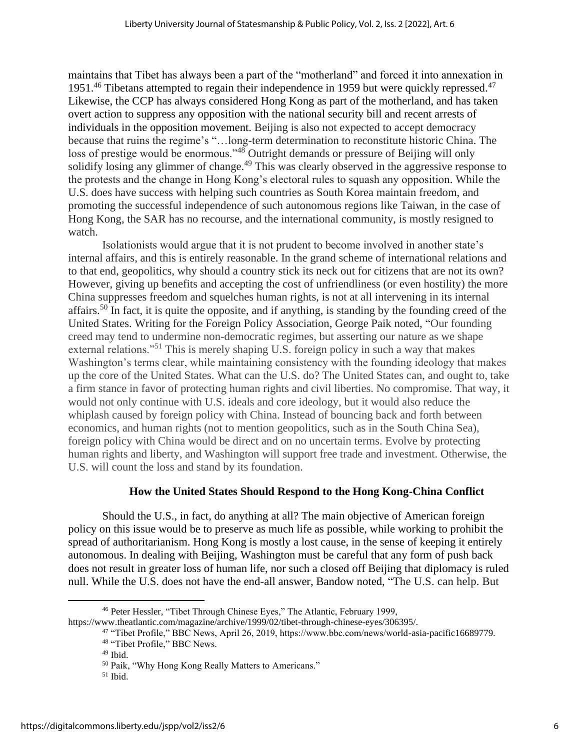maintains that Tibet has always been a part of the "motherland" and forced it into annexation in 1951.<sup>46</sup> Tibetans attempted to regain their independence in 1959 but were quickly repressed.<sup>47</sup> Likewise, the CCP has always considered Hong Kong as part of the motherland, and has taken overt action to suppress any opposition with the national security bill and recent arrests of individuals in the opposition movement. Beijing is also not expected to accept democracy because that ruins the regime's "…long-term determination to reconstitute historic China. The loss of prestige would be enormous."<sup>48</sup> Outright demands or pressure of Beijing will only solidify losing any glimmer of change.<sup>49</sup> This was clearly observed in the aggressive response to the protests and the change in Hong Kong's electoral rules to squash any opposition. While the U.S. does have success with helping such countries as South Korea maintain freedom, and promoting the successful independence of such autonomous regions like Taiwan, in the case of Hong Kong, the SAR has no recourse, and the international community, is mostly resigned to watch.

Isolationists would argue that it is not prudent to become involved in another state's internal affairs, and this is entirely reasonable. In the grand scheme of international relations and to that end, geopolitics, why should a country stick its neck out for citizens that are not its own? However, giving up benefits and accepting the cost of unfriendliness (or even hostility) the more China suppresses freedom and squelches human rights, is not at all intervening in its internal affairs.<sup>50</sup> In fact, it is quite the opposite, and if anything, is standing by the founding creed of the United States. Writing for the Foreign Policy Association, George Paik noted, "Our founding creed may tend to undermine non-democratic regimes, but asserting our nature as we shape external relations."<sup>51</sup> This is merely shaping U.S. foreign policy in such a way that makes Washington's terms clear, while maintaining consistency with the founding ideology that makes up the core of the United States. What can the U.S. do? The United States can, and ought to, take a firm stance in favor of protecting human rights and civil liberties. No compromise. That way, it would not only continue with U.S. ideals and core ideology, but it would also reduce the whiplash caused by foreign policy with China. Instead of bouncing back and forth between economics, and human rights (not to mention geopolitics, such as in the South China Sea), foreign policy with China would be direct and on no uncertain terms. Evolve by protecting human rights and liberty, and Washington will support free trade and investment. Otherwise, the U.S. will count the loss and stand by its foundation.

## **How the United States Should Respond to the Hong Kong-China Conflict**

Should the U.S., in fact, do anything at all? The main objective of American foreign policy on this issue would be to preserve as much life as possible, while working to prohibit the spread of authoritarianism. Hong Kong is mostly a lost cause, in the sense of keeping it entirely autonomous. In dealing with Beijing, Washington must be careful that any form of push back does not result in greater loss of human life, nor such a closed off Beijing that diplomacy is ruled null. While the U.S. does not have the end-all answer, Bandow noted, "The U.S. can help. But

<sup>46</sup> Peter Hessler, "Tibet Through Chinese Eyes," The Atlantic, February 1999, https://www.theatlantic.com/magazine/archive/1999/02/tibet-through-chinese-eyes/306395/.

<sup>47</sup> "Tibet Profile," BBC News, April 26, 2019, https://www.bbc.com/news/world-asia-pacific16689779.

<sup>48</sup> "Tibet Profile," BBC News.

 $49$  Ibid.

<sup>50</sup> Paik, "Why Hong Kong Really Matters to Americans."

 $51$  Ibid.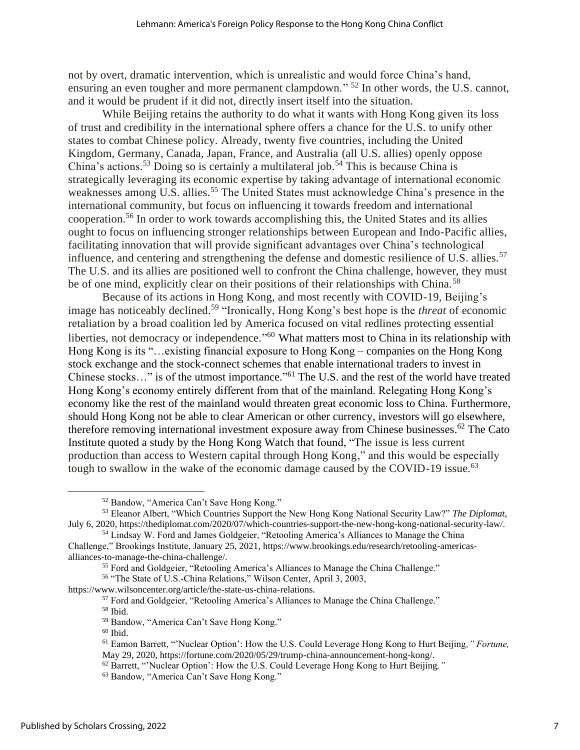not by overt, dramatic intervention, which is unrealistic and would force China's hand, ensuring an even tougher and more permanent clampdown."<sup>52</sup> In other words, the U.S. cannot, and it would be prudent if it did not, directly insert itself into the situation.

While Beijing retains the authority to do what it wants with Hong Kong given its loss of trust and credibility in the international sphere offers a chance for the U.S. to unify other states to combat Chinese policy. Already, twenty five countries, including the United Kingdom, Germany, Canada, Japan, France, and Australia (all U.S. allies) openly oppose China's actions.<sup>53</sup> Doing so is certainly a multilateral job.<sup>54</sup> This is because China is strategically leveraging its economic expertise by taking advantage of international economic weaknesses among U.S. allies.<sup>55</sup> The United States must acknowledge China's presence in the international community, but focus on influencing it towards freedom and international cooperation.<sup>56</sup> In order to work towards accomplishing this, the United States and its allies ought to focus on influencing stronger relationships between European and Indo-Pacific allies, facilitating innovation that will provide significant advantages over China's technological influence, and centering and strengthening the defense and domestic resilience of U.S. allies.<sup>57</sup> The U.S. and its allies are positioned well to confront the China challenge, however, they must be of one mind, explicitly clear on their positions of their relationships with China.<sup>58</sup>

Because of its actions in Hong Kong, and most recently with COVID-19, Beijing's image has noticeably declined.<sup>59</sup> "Ironically, Hong Kong's best hope is the *threat* of economic retaliation by a broad coalition led by America focused on vital redlines protecting essential liberties, not democracy or independence."<sup>60</sup> What matters most to China in its relationship with Hong Kong is its "…existing financial exposure to Hong Kong – companies on the Hong Kong stock exchange and the stock-connect schemes that enable international traders to invest in Chinese stocks..." is of the utmost importance."<sup>61</sup> The U.S. and the rest of the world have treated Hong Kong's economy entirely different from that of the mainland. Relegating Hong Kong's economy like the rest of the mainland would threaten great economic loss to China. Furthermore, should Hong Kong not be able to clear American or other currency, investors will go elsewhere, therefore removing international investment exposure away from Chinese businesses.<sup>62</sup> The Cato Institute quoted a study by the Hong Kong Watch that found, "The issue is less current production than access to Western capital through Hong Kong," and this would be especially tough to swallow in the wake of the economic damage caused by the COVID-19 issue.<sup>63</sup>

<sup>58</sup> Ibid.

<sup>52</sup> Bandow, "America Can't Save Hong Kong."

<sup>53</sup> Eleanor Albert, "Which Countries Support the New Hong Kong National Security Law?" *The Diplomat*, July 6, 2020, https://thediplomat.com/2020/07/which-countries-support-the-new-hong-kong-national-security-law/.

<sup>54</sup> Lindsay W. Ford and James Goldgeier, "Retooling America's Alliances to Manage the China Challenge," Brookings Institute, January 25, 2021, https://www.brookings.edu/research/retooling-americasalliances-to-manage-the-china-challenge/.

<sup>55</sup> Ford and Goldgeier, "Retooling America's Alliances to Manage the China Challenge."

<sup>56</sup> "The State of U.S.-China Relations," Wilson Center, April 3, 2003,

https://www.wilsoncenter.org/article/the-state-us-china-relations.

<sup>57</sup> Ford and Goldgeier, "Retooling America's Alliances to Manage the China Challenge."

<sup>59</sup> Bandow, "America Can't Save Hong Kong."

 $60$  Ibid.

<sup>61</sup> Eamon Barrett, "'Nuclear Option': How the U.S. Could Leverage Hong Kong to Hurt Beijing*," Fortune,* May 29, 2020, https://fortune.com/2020/05/29/trump-china-announcement-hong-kong/.

<sup>62</sup> Barrett, "'Nuclear Option': How the U.S. Could Leverage Hong Kong to Hurt Beijing*,"*

<sup>63</sup> Bandow, "America Can't Save Hong Kong."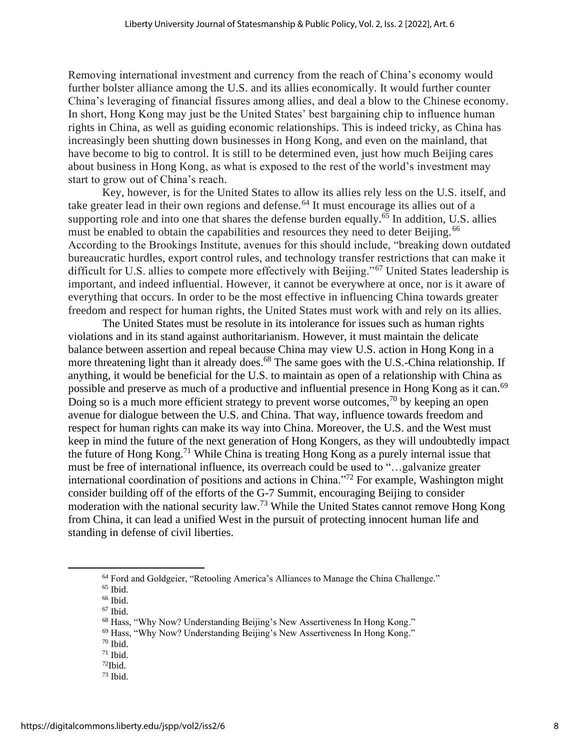Removing international investment and currency from the reach of China's economy would further bolster alliance among the U.S. and its allies economically. It would further counter China's leveraging of financial fissures among allies, and deal a blow to the Chinese economy. In short, Hong Kong may just be the United States' best bargaining chip to influence human rights in China, as well as guiding economic relationships. This is indeed tricky, as China has increasingly been shutting down businesses in Hong Kong, and even on the mainland, that have become to big to control. It is still to be determined even, just how much Beijing cares about business in Hong Kong, as what is exposed to the rest of the world's investment may start to grow out of China's reach.

Key, however, is for the United States to allow its allies rely less on the U.S. itself, and take greater lead in their own regions and defense.<sup>64</sup> It must encourage its allies out of a supporting role and into one that shares the defense burden equally.<sup>65</sup> In addition, U.S. allies must be enabled to obtain the capabilities and resources they need to deter Beijing.<sup>66</sup> According to the Brookings Institute, avenues for this should include, "breaking down outdated bureaucratic hurdles, export control rules, and technology transfer restrictions that can make it difficult for U.S. allies to compete more effectively with Beijing."<sup>67</sup> United States leadership is important, and indeed influential. However, it cannot be everywhere at once, nor is it aware of everything that occurs. In order to be the most effective in influencing China towards greater freedom and respect for human rights, the United States must work with and rely on its allies.

The United States must be resolute in its intolerance for issues such as human rights violations and in its stand against authoritarianism. However, it must maintain the delicate balance between assertion and repeal because China may view U.S. action in Hong Kong in a more threatening light than it already does.<sup>68</sup> The same goes with the U.S.-China relationship. If anything, it would be beneficial for the U.S. to maintain as open of a relationship with China as possible and preserve as much of a productive and influential presence in Hong Kong as it can.<sup>69</sup> Doing so is a much more efficient strategy to prevent worse outcomes,<sup>70</sup> by keeping an open avenue for dialogue between the U.S. and China. That way, influence towards freedom and respect for human rights can make its way into China. Moreover, the U.S. and the West must keep in mind the future of the next generation of Hong Kongers, as they will undoubtedly impact the future of Hong Kong.<sup>71</sup> While China is treating Hong Kong as a purely internal issue that must be free of international influence, its overreach could be used to "…galvanize greater international coordination of positions and actions in China."<sup>72</sup> For example, Washington might consider building off of the efforts of the G-7 Summit, encouraging Beijing to consider moderation with the national security law.<sup>73</sup> While the United States cannot remove Hong Kong from China, it can lead a unified West in the pursuit of protecting innocent human life and standing in defense of civil liberties.

<sup>64</sup> Ford and Goldgeier, "Retooling America's Alliances to Manage the China Challenge."

<sup>&</sup>lt;sup>65</sup> Ibid. <sup>66</sup> Ibid.

 $67$  Ibid.

<sup>68</sup> Hass, "Why Now? Understanding Beijing's New Assertiveness In Hong Kong."

<sup>69</sup> Hass, "Why Now? Understanding Beijing's New Assertiveness In Hong Kong."

 $70$  Ibid.

 $71$  Ibid.

 $72$ Ibid.

 $73$  Ibid.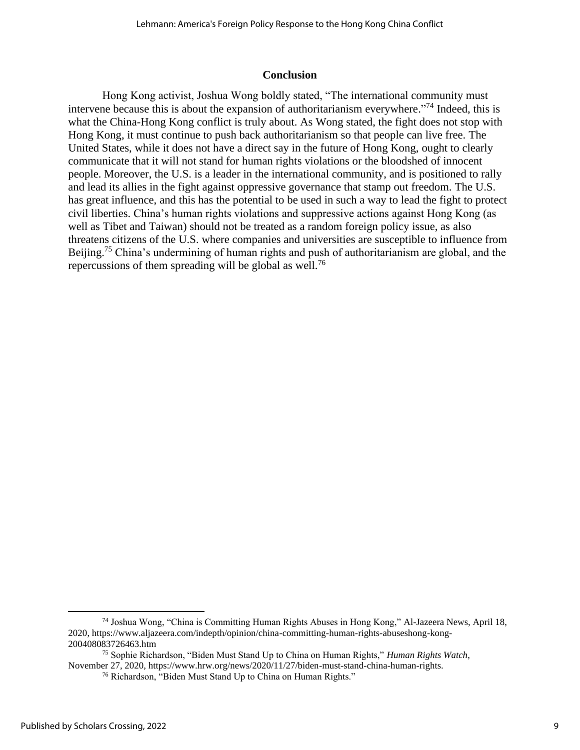#### **Conclusion**

Hong Kong activist, Joshua Wong boldly stated, "The international community must intervene because this is about the expansion of authoritarianism everywhere."<sup>74</sup> Indeed, this is what the China-Hong Kong conflict is truly about. As Wong stated, the fight does not stop with Hong Kong, it must continue to push back authoritarianism so that people can live free. The United States, while it does not have a direct say in the future of Hong Kong, ought to clearly communicate that it will not stand for human rights violations or the bloodshed of innocent people. Moreover, the U.S. is a leader in the international community, and is positioned to rally and lead its allies in the fight against oppressive governance that stamp out freedom. The U.S. has great influence, and this has the potential to be used in such a way to lead the fight to protect civil liberties. China's human rights violations and suppressive actions against Hong Kong (as well as Tibet and Taiwan) should not be treated as a random foreign policy issue, as also threatens citizens of the U.S. where companies and universities are susceptible to influence from Beijing.<sup>75</sup> China's undermining of human rights and push of authoritarianism are global, and the repercussions of them spreading will be global as well.<sup>76</sup>

<sup>74</sup> Joshua Wong, "China is Committing Human Rights Abuses in Hong Kong," Al-Jazeera News, April 18, 2020, https://www.aljazeera.com/indepth/opinion/china-committing-human-rights-abuseshong-kong-200408083726463.htm

<sup>75</sup> Sophie Richardson, "Biden Must Stand Up to China on Human Rights," *Human Rights Watch*, November 27, 2020, https://www.hrw.org/news/2020/11/27/biden-must-stand-china-human-rights.

<sup>76</sup> Richardson, "Biden Must Stand Up to China on Human Rights."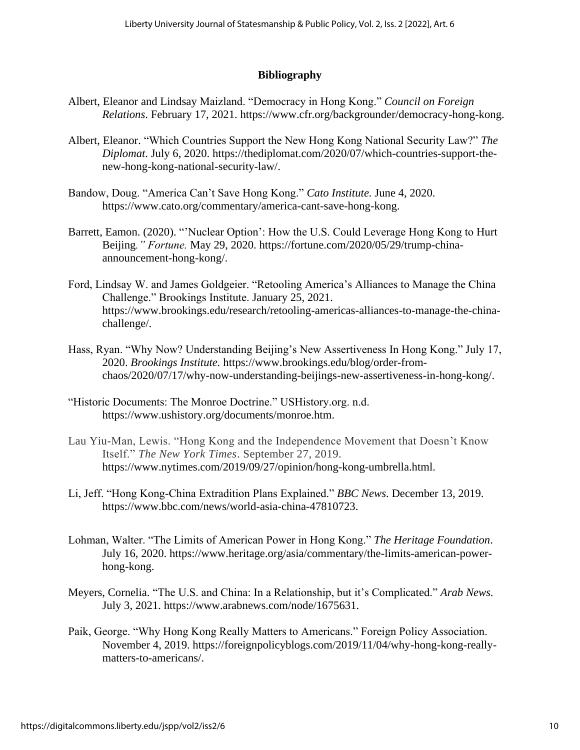## **Bibliography**

- Albert, Eleanor and Lindsay Maizland. "Democracy in Hong Kong." *Council on Foreign Relations*. February 17, 2021. https://www.cfr.org/backgrounder/democracy-hong-kong.
- Albert, Eleanor. "Which Countries Support the New Hong Kong National Security Law?" *The Diplomat*. July 6, 2020. https://thediplomat.com/2020/07/which-countries-support-thenew-hong-kong-national-security-law/.
- Bandow, Doug. "America Can't Save Hong Kong." *Cato Institute.* June 4, 2020. https://www.cato.org/commentary/america-cant-save-hong-kong.
- Barrett, Eamon. (2020). "'Nuclear Option': How the U.S. Could Leverage Hong Kong to Hurt Beijing*." Fortune.* May 29, 2020. https://fortune.com/2020/05/29/trump-chinaannouncement-hong-kong/.
- Ford, Lindsay W. and James Goldgeier. "Retooling America's Alliances to Manage the China Challenge." Brookings Institute. January 25, 2021. https://www.brookings.edu/research/retooling-americas-alliances-to-manage-the-chinachallenge/.
- Hass, Ryan. "Why Now? Understanding Beijing's New Assertiveness In Hong Kong." July 17, 2020. *Brookings Institute.* https://www.brookings.edu/blog/order-fromchaos/2020/07/17/why-now-understanding-beijings-new-assertiveness-in-hong-kong/.
- "Historic Documents: The Monroe Doctrine." USHistory.org. n.d. https://www.ushistory.org/documents/monroe.htm.
- Lau Yiu-Man, Lewis. "Hong Kong and the Independence Movement that Doesn't Know Itself." *The New York Times*. September 27, 2019. https://www.nytimes.com/2019/09/27/opinion/hong-kong-umbrella.html.
- Li, Jeff. "Hong Kong-China Extradition Plans Explained." *BBC News*. December 13, 2019. https://www.bbc.com/news/world-asia-china-47810723.
- Lohman, Walter. "The Limits of American Power in Hong Kong." *The Heritage Foundation*. July 16, 2020. https://www.heritage.org/asia/commentary/the-limits-american-powerhong-kong.
- Meyers, Cornelia. "The U.S. and China: In a Relationship, but it's Complicated." *Arab News.*  July 3, 2021. https://www.arabnews.com/node/1675631.
- Paik, George. "Why Hong Kong Really Matters to Americans." Foreign Policy Association. November 4, 2019. https://foreignpolicyblogs.com/2019/11/04/why-hong-kong-reallymatters-to-americans/.